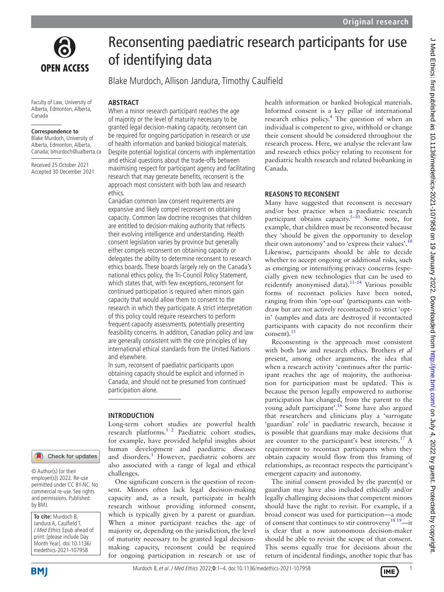

# **OPEN ACCESS**

Faculty of Law, University of Alberta, Edmonton, Alberta, Canada

#### **Correspondence to**

Blake Murdoch, University of Alberta, Edmonton, Alberta, Canada; bmurdoch@ualberta.ca

Received 25 October 2021 Accepted 30 December 2021

## Reconsenting paediatric research participants for use of identifying data

Blake Murdoch, Allison Jandura, Timothy Caulfield

#### **ABSTRACT**

When a minor research participant reaches the age of majority or the level of maturity necessary to be granted legal decision-making capacity, reconsent can be required for ongoing participation in research or use of health information and banked biological materials. Despite potential logistical concerns with implementation and ethical questions about the trade-offs between maximising respect for participant agency and facilitating research that may generate benefits, reconsent is the approach most consistent with both law and research ethics.

Canadian common law consent requirements are expansive and likely compel reconsent on obtaining capacity. Common law doctrine recognises that children are entitled to decision-making authority that reflects their evolving intelligence and understanding. Health consent legislation varies by province but generally either compels reconsent on obtaining capacity or delegates the ability to determine reconsent to research ethics boards. These boards largely rely on the Canada's national ethics policy, the Tri-Council Policy Statement, which states that, with few exceptions, reconsent for continued participation is required when minors gain capacity that would allow them to consent to the research in which they participate. A strict interpretation of this policy could require researchers to perform frequent capacity assessments, potentially presenting feasibility concerns. In addition, Canadian policy and law are generally consistent with the core principles of key international ethical standards from the United Nations and elsewhere.

In sum, reconsent of paediatric participants upon obtaining capacity should be explicit and informed in Canada, and should not be presumed from continued participation alone.

#### **INTRODUCTION**

Long-term cohort studies are powerful health research platforms.[1 2](#page-3-0) Paediatric cohort studies, for example, have provided helpful insights about human development and paediatric diseases and disorders.<sup>[3](#page-3-1)</sup> However, paediatric cohorts are also associated with a range of legal and ethical challenges.

One significant concern is the question of reconsent. Minors often lack legal decision-making capacity and, as a result, participate in health research without providing informed consent, which is typically given by a parent or guardian. When a minor participant reaches the age of majority or, depending on the jurisdiction, the level of maturity necessary to be granted legal decisionmaking capacity, reconsent could be required for ongoing participation in research or use of health information or banked biological materials. Informed consent is a key pillar of international research ethics policy.<sup>[4](#page-3-2)</sup> The question of when an individual is competent to give, withhold or change their consent should be considered throughout the research process. Here, we analyse the relevant law and research ethics policy relating to reconsent for paediatric health research and related biobanking in Canada.

#### **REASONS TO RECONSENT**

Many have suggested that reconsent is necessary and/or best practice when a paediatric research participant obtains capacity.<sup>5–10</sup> Some note, for example, that children must be reconsented because they 'should be given the opportunity to develop their own autonomy' and to 'express their values'.<sup>[10](#page-3-4)</sup> Likewise, participants should be able to decide whether to accept ongoing or additional risks, such as emerging or intensifying privacy concerns (especially given new technologies that can be used to reidentify anonymised data). $11-14$  Various possible forms of recontact policies have been noted, ranging from thin 'opt-out' (participants can withdraw but are not actively recontacted) to strict 'optin' (samples and data are destroyed if recontacted participants with capacity do not reconfirm their consent). $15$ 

Reconsenting is the approach most consistent with both law and research ethics. Brothers *et al* present, among other arguments, the idea that when a research activity 'continues after the participant reaches the age of majority, the authorisation for participation must be updated. This is because the person legally empowered to authorise participation has changed, from the parent to the young adult participant'.[16](#page-3-7) Some have also argued that researchers and clinicians play a 'surrogate 'guardian' role' in paediatric research, because it is possible that guardians may make decisions that are counter to the participant's best interests.<sup>17</sup> A requirement to recontact participants when they obtain capacity would flow from this framing of relationships, as recontact respects the participant's emergent capacity and autonomy.

The initial consent provided by the parent(s) or guardian may have also included ethically and/or legally challenging decisions that competent minors should have the right to revisit. For example, if a broad consent was used for participation—a mode of consent that continues to stir controversy<sup>18 19</sup>—it is clear that a now autonomous decision-maker should be able to revisit the scope of that consent. This seems equally true for decisions about the return of incidental findings, another topic that has

Check for updates

© Author(s) (or their employer(s)) 2022. Re-use permitted under CC BY-NC. No commercial re-use. See rights and permissions. Published by BMJ.

**To cite:** Murdoch B, Jandura A, Caulfield T. J Med Ethics Epub ahead of print: [please include Day Month Year]. doi:10.1136/ medethics-2021-107958

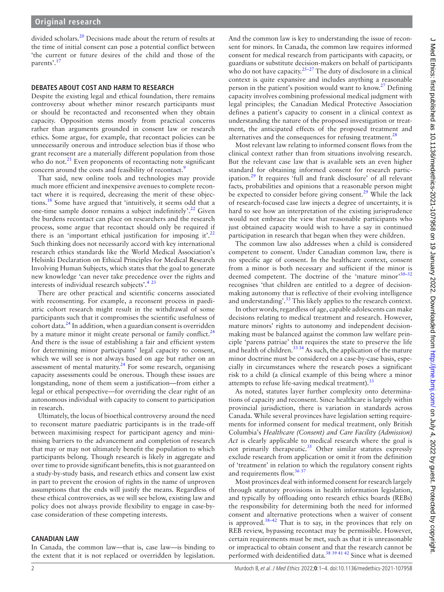divided scholars[.20](#page-3-10) Decisions made about the return of results at the time of initial consent can pose a potential conflict between 'the current or future desires of the child and those of the parents'[.17](#page-3-8)

#### **DEBATES ABOUT COST AND HARM TO RESEARCH**

Despite the existing legal and ethical foundation, there remains controversy about whether minor research participants must or should be recontacted and reconsented when they obtain capacity. Opposition stems mostly from practical concerns rather than arguments grounded in consent law or research ethics. Some argue, for example, that recontact policies can be unnecessarily onerous and introduce selection bias if those who grant reconsent are a materially different population from those who do not. $^{21}$  $^{21}$  $^{21}$  Even proponents of recontacting note significant concern around the costs and feasibility of recontact.<sup>[9](#page-3-12)</sup>

That said, new online tools and technologies may provide much more efficient and inexpensive avenues to complete recontact where it is required, decreasing the merit of these objections.[18](#page-3-9) Some have argued that 'intuitively, it seems odd that a one-time sample donor remains a subject indefinitely'.<sup>22</sup> Given the burdens recontact can place on researchers and the research process, some argue that recontact should only be required if there is an 'important ethical justification for imposing it'.<sup>[22](#page-3-13)</sup> Such thinking does not necessarily accord with key international research ethics standards like the World Medical Association's Helsinki Declaration on Ethical Principles for Medical Research Involving Human Subjects, which states that the goal to generate new knowledge 'can never take precedence over the rights and interests of individual research subjects'[.4](#page-3-2) [23](#page-3-14)

There are other practical and scientific concerns associated with reconsenting. For example, a reconsent process in paediatric cohort research might result in the withdrawal of some participants such that it compromises the scientific usefulness of cohort data. $^{24}$  In addition, when a guardian consent is overridden by a mature minor it might create personal or family conflict.<sup>[24](#page-3-15)</sup> And there is the issue of establishing a fair and efficient system for determining minor participants' legal capacity to consent, which we will see is not always based on age but rather on an assessment of mental maturity.<sup>24</sup> For some research, organising capacity assessments could be onerous. Though these issues are longstanding, none of them seem a justification—from either a legal or ethical perspective—for overriding the clear right of an autonomous individual with capacity to consent to participation in research.

Ultimately, the locus of bioethical controversy around the need to reconsent mature paediatric participants is in the trade-off between maximising respect for participant agency and minimising barriers to the advancement and completion of research that may or may not ultimately benefit the population to which participants belong. Though research is likely in aggregate and over time to provide significant benefits, this is not guaranteed on a study-by-study basis, and research ethics and consent law exist in part to prevent the erosion of rights in the name of unproven assumptions that the ends will justify the means. Regardless of these ethical controversies, as we will see below, existing law and policy does not always provide flexibility to engage in case-bycase consideration of these competing interests.

#### **CANADIAN LAW**

In Canada, the common law—that is, case law—is binding to the extent that it is not replaced or overridden by legislation.

And the common law is key to understanding the issue of reconsent for minors. In Canada, the common law requires informed consent for medical research from participants with capacity, or guardians or substitute decision-makers on behalf of participants who do not have capacity.<sup>25–27</sup> The duty of disclosure in a clinical context is quite expansive and includes anything a reasonable person in the patient's position would want to know.<sup>[27](#page-3-17)</sup> Defining capacity involves combining professional medical judgment with legal principles; the Canadian Medical Protective Association defines a patient's capacity to consent in a clinical context as understanding the nature of the proposed investigation or treatment, the anticipated effects of the proposed treatment and alternatives and the consequences for refusing treatment.<sup>28</sup>

Most relevant law relating to informed consent flows from the clinical context rather than from situations involving research. But the relevant case law that is available sets an even higher standard for obtaining informed consent for research partic-ipation.<sup>[29](#page-3-19)</sup> It requires 'full and frank disclosure' of all relevant facts, probabilities and opinions that a reasonable person might be expected to consider before giving consent.<sup>29</sup> While the lack of research-focused case law injects a degree of uncertainty, it is hard to see how an interpretation of the existing jurisprudence would not embrace the view that reasonable participants who just obtained capacity would wish to have a say in continued participation in research that began when they were children.

The common law also addresses when a child is considered competent to consent. Under Canadian common law, there is no specific age of consent. In the healthcare context, consent from a minor is both necessary and sufficient if the minor is deemed competent. The doctrine of the 'mature minor'30-32 recognises 'that children are entitled to a degree of decisionmaking autonomy that is reflective of their evolving intelligence and understanding'.<sup>33</sup> This likely applies to the research context.

In other words, regardless of age, capable adolescents can make decisions relating to medical treatment and research. However, mature minors' rights to autonomy and independent decisionmaking must be balanced against the common law welfare principle 'parens patriae' that requires the state to preserve the life and health of children. $3334$  As such, the application of the mature minor doctrine must be considered on a case-by-case basis, especially in circumstances where the research poses a significant risk to a child (a clinical example of this being where a minor attempts to refuse life-saving medical treatment).<sup>3</sup>

As noted, statutes layer further complexity onto determinations of capacity and reconsent. Since healthcare is largely within provincial jurisdiction, there is variation in standards across Canada. While several provinces have legislation setting requirements for informed consent for medical treatment, only British Columbia's *Healthcare (Consent) and Care Facility (Admission) Act* is clearly applicable to medical research where the goal is not primarily therapeutic.<sup>35</sup> Other similar statutes expressly exclude research from application or omit it from the definition of 'treatment' in relation to which the regulatory consent rights and requirements flow.<sup>36 37</sup>

Most provinces deal with informed consent for research largely through statutory provisions in health information legislation, and typically by offloading onto research ethics boards (REBs) the responsibility for determining both the need for informed consent and alternative protections when a waiver of consent is approved.<sup>38–42</sup> That is to say, in the provinces that rely on REB review, bypassing recontact may be permissible. However, certain requirements must be met, such as that it is unreasonable or impractical to obtain consent and that the research cannot be performed with deidentified data.<sup>38</sup> 39<sup>4142</sup> Since what is deemed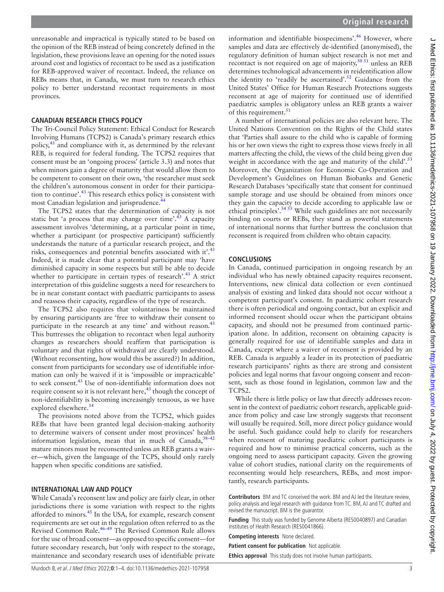unreasonable and impractical is typically stated to be based on the opinion of the REB instead of being concretely defined in the legislation, these provisions leave an opening for the noted issues around cost and logistics of recontact to be used as a justification for REB-approved waiver of recontact. Indeed, the reliance on REBs means that, in Canada, we must turn to research ethics policy to better understand recontact requirements in most provinces.

### **CANADIAN RESEARCH ETHICS POLICY**

The Tri-Council Policy Statement: Ethical Conduct for Research Involving Humans (TCPS2) is Canada's primary research ethics policy, $43$  and compliance with it, as determined by the relevant REB, is required for federal funding. The TCPS2 requires that consent must be an 'ongoing process' (article 3.3) and notes that when minors gain a degree of maturity that would allow them to be competent to consent on their own, 'the researcher must seek the children's autonomous consent in order for their participation to continue'.[43](#page-3-25) This research ethics policy is consistent with most Canadian legislation and jurisprudence.<sup>44</sup>

The TCPS2 states that the determination of capacity is not static but 'a process that may change over time'. $43$  A capacity assessment involves 'determining, at a particular point in time, whether a participant (or prospective participant) sufficiently understands the nature of a particular research project, and the risks, consequences and potential benefits associated with it'. $43$ Indeed, it is made clear that a potential participant may 'have diminished capacity in some respects but still be able to decide whether to participate in certain types of research'.<sup>[43](#page-3-25)</sup> A strict interpretation of this guideline suggests a need for researchers to be in near constant contact with paediatric participants to assess and reassess their capacity, regardless of the type of research.

The TCPS2 also requires that voluntariness be maintained by ensuring participants are 'free to withdraw their consent to participate in the research at any time' and without reason.<sup>[43](#page-3-25)</sup> This buttresses the obligation to recontact when legal authority changes as researchers should reaffirm that participation is voluntary and that rights of withdrawal are clearly understood. (Without reconsenting, how would this be assured?) In addition, consent from participants for secondary use of identifiable information can only be waived if it is 'impossible or impracticable' to seek consent.[43](#page-3-25) Use of non-identifiable information does not require consent so it is not relevant here, $43$  though the concept of non-identifiability is becoming increasingly tenuous, as we have explored elsewhere.<sup>14</sup>

The provisions noted above from the TCPS2, which guides REBs that have been granted legal decision-making authority to determine waivers of consent under most provinces' health information legislation, mean that in much of Canada,  $38-42$ mature minors must be reconsented unless an REB grants a waiver—which, given the language of the TCPS, should only rarely happen when specific conditions are satisfied.

#### **INTERNATIONAL LAW AND POLICY**

While Canada's reconsent law and policy are fairly clear, in other jurisdictions there is some variation with respect to the rights afforded to minors.<sup>45</sup> In the USA, for example, research consent requirements are set out in the regulation often referred to as the Revised Common Rule.<sup>46–49</sup> The Revised Common Rule allows for the use of broad consent—as opposed to specific consent—for future secondary research, but 'only with respect to the storage, maintenance and secondary research uses of identifiable private

information and identifiable biospecimens'.<sup>46</sup> However, where samples and data are effectively de-identified (anonymised), the regulatory definition of human subject research is not met and recontact is not required on age of majority,<sup>50 51</sup> unless an REB determines technological advancements in reidentification allow the identity to 'readily be ascertained'.<sup>52</sup> Guidance from the United States' Office for Human Research Protections suggests reconsent at age of majority for continued use of identified paediatric samples is obligatory unless an REB grants a waiver of this requirement.<sup>51</sup>

A number of international policies are also relevant here. The United Nations Convention on the Rights of the Child states that 'Parties shall assure to the child who is capable of forming his or her own views the right to express those views freely in all matters affecting the child, the views of the child being given due weight in accordance with the age and maturity of the child'.<sup>[53](#page-3-33)</sup> Moreover, the Organization for Economic Co-Operation and Development's Guidelines on Human Biobanks and Genetic Research Databases 'specifically state that consent for continued sample storage and use should be obtained from minors once they gain the capacity to decide according to applicable law or ethical principles'.<sup>54 55</sup> While such guidelines are not necessarily binding on courts or REBs, they stand as powerful statements of international norms that further buttress the conclusion that reconsent is required from children who obtain capacity.

#### **CONCLUSIONS**

In Canada, continued participation in ongoing research by an individual who has newly obtained capacity requires reconsent. Interventions, new clinical data collection or even continued analysis of existing and linked data should not occur without a competent participant's consent. In paediatric cohort research there is often periodical and ongoing contact, but an explicit and informed reconsent should occur when the participant obtains capacity, and should not be presumed from continued participation alone. In addition, reconsent on obtaining capacity is generally required for use of identifiable samples and data in Canada, except where a waiver of reconsent is provided by an REB. Canada is arguably a leader in its protection of paediatric research participants' rights as there are strong and consistent policies and legal norms that favour ongoing consent and reconsent, such as those found in legislation, common law and the TCPS2.

While there is little policy or law that directly addresses reconsent in the context of paediatric cohort research, applicable guidance from policy and case law strongly suggests that reconsent will usually be required. Still, more direct policy guidance would be useful. Such guidance could help to clarify for researchers when reconsent of maturing paediatric cohort participants is required and how to minimise practical concerns, such as the ongoing need to assess participant capacity. Given the growing value of cohort studies, national clarity on the requirements of reconsenting would help researchers, REBs, and most importantly, research participants.

**Contributors** BM and TC conceived the work. BM and AJ led the literature review, policy analysis and legal research with guidance from TC. BM, AJ and TC drafted and revised the manuscript. BM is the guarantor.

**Funding** This study was funded by Genome Alberta (RES0040897) and Canadian Institutes of Health Research (RES0041866).

**Competing interests** None declared.

**Patient consent for publication** Not applicable.

**Ethics approval** This study does not involve human participants.